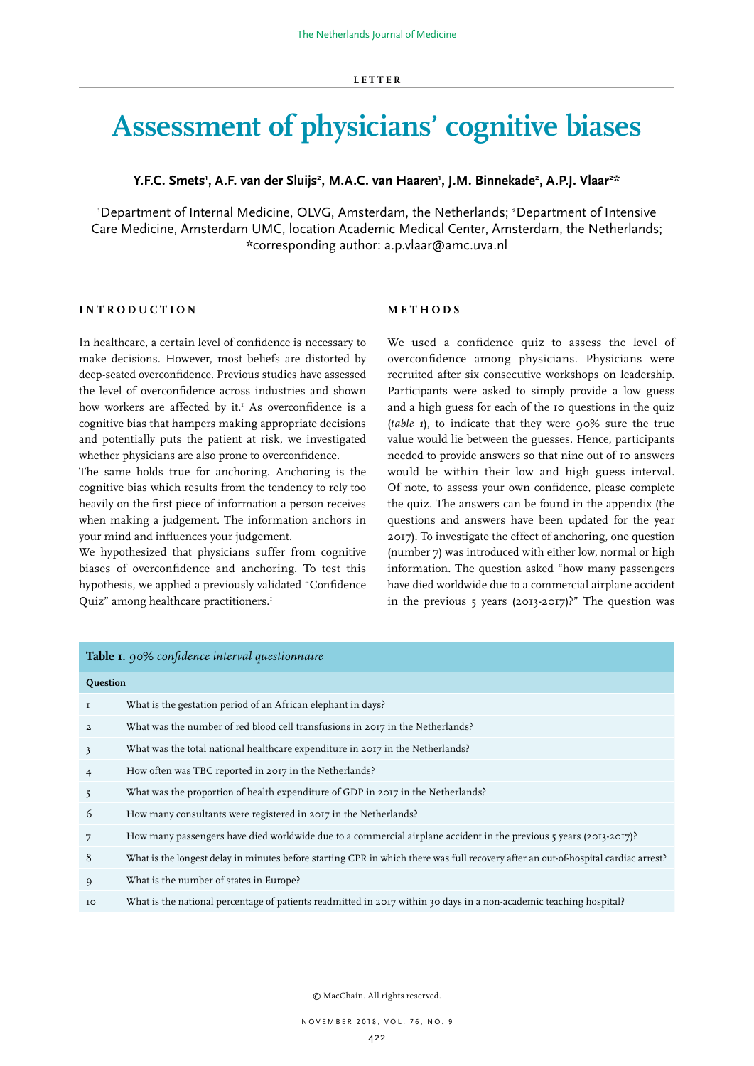# **Assessment of physicians' cognitive biases**

# Y.F.C. Smets', A.F. van der Sluijs<sup>2</sup>, M.A.C. van Haaren', J.M. Binnekade<sup>2</sup>, A.P.J. Vlaar<sup>2::</sup>

'Department of Internal Medicine, OLVG, Amsterdam, the Netherlands; <sup>2</sup>Department of Intensive Care Medicine, Amsterdam UMC, location Academic Medical Center, Amsterdam, the Netherlands; \*corresponding author: a.p.vlaar@amc.uva.nl

# **INTRODUCTION**

In healthcare, a certain level of confidence is necessary to make decisions. However, most beliefs are distorted by deep-seated overconfidence. Previous studies have assessed the level of overconfidence across industries and shown how workers are affected by it.<sup>1</sup> As overconfidence is a cognitive bias that hampers making appropriate decisions and potentially puts the patient at risk, we investigated whether physicians are also prone to overconfidence.

The same holds true for anchoring. Anchoring is the cognitive bias which results from the tendency to rely too heavily on the first piece of information a person receives when making a judgement. The information anchors in your mind and influences your judgement.

We hypothesized that physicians suffer from cognitive biases of overconfidence and anchoring. To test this hypothesis, we applied a previously validated "Confidence Quiz" among healthcare practitioners.<sup>1</sup>

### **METHODS**

We used a confidence quiz to assess the level of overconfidence among physicians. Physicians were recruited after six consecutive workshops on leadership. Participants were asked to simply provide a low guess and a high guess for each of the 10 questions in the quiz (*table 1*), to indicate that they were 90% sure the true value would lie between the guesses. Hence, participants needed to provide answers so that nine out of 10 answers would be within their low and high guess interval. Of note, to assess your own confidence, please complete the quiz. The answers can be found in the appendix (the questions and answers have been updated for the year 2017). To investigate the effect of anchoring, one question (number 7) was introduced with either low, normal or high information. The question asked "how many passengers have died worldwide due to a commercial airplane accident in the previous 5 years (2013-2017)?" The question was

| <b>Table I.</b> 90% confidence interval questionnaire |                                                                                                                                    |  |  |  |
|-------------------------------------------------------|------------------------------------------------------------------------------------------------------------------------------------|--|--|--|
| Question                                              |                                                                                                                                    |  |  |  |
| $\mathbf I$                                           | What is the gestation period of an African elephant in days?                                                                       |  |  |  |
| $\overline{a}$                                        | What was the number of red blood cell transfusions in 2017 in the Netherlands?                                                     |  |  |  |
| 3                                                     | What was the total national healthcare expenditure in 2017 in the Netherlands?                                                     |  |  |  |
| $\overline{4}$                                        | How often was TBC reported in 2017 in the Netherlands?                                                                             |  |  |  |
| 5                                                     | What was the proportion of health expenditure of GDP in 2017 in the Netherlands?                                                   |  |  |  |
| 6                                                     | How many consultants were registered in 2017 in the Netherlands?                                                                   |  |  |  |
| 7                                                     | How many passengers have died worldwide due to a commercial airplane accident in the previous 5 years (2013-2017)?                 |  |  |  |
| 8                                                     | What is the longest delay in minutes before starting CPR in which there was full recovery after an out-of-hospital cardiac arrest? |  |  |  |
| 9                                                     | What is the number of states in Europe?                                                                                            |  |  |  |
| IO                                                    | What is the national percentage of patients readmitted in 2017 within 30 days in a non-academic teaching hospital?                 |  |  |  |
|                                                       |                                                                                                                                    |  |  |  |

© MacChain. All rights reserved.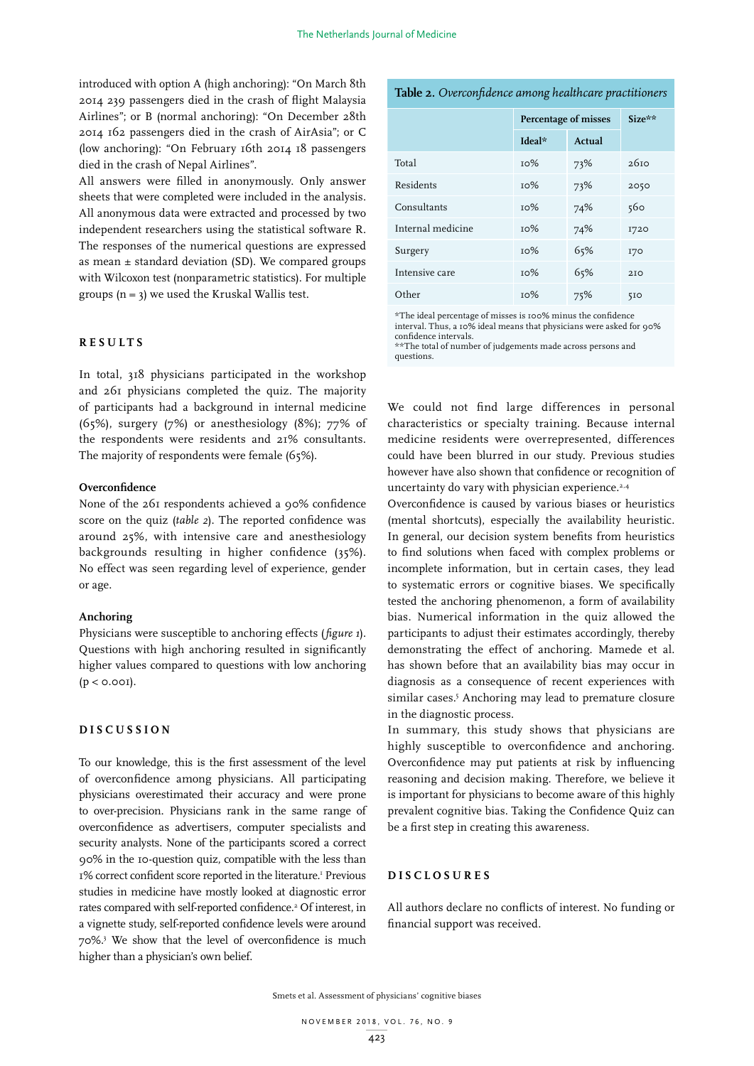introduced with option A (high anchoring): "On March 8th 2014 239 passengers died in the crash of flight Malaysia Airlines"; or B (normal anchoring): "On December 28th 2014 162 passengers died in the crash of AirAsia"; or C (low anchoring): "On February 16th 2014 18 passengers died in the crash of Nepal Airlines".

All answers were filled in anonymously. Only answer sheets that were completed were included in the analysis. All anonymous data were extracted and processed by two independent researchers using the statistical software R. The responses of the numerical questions are expressed as mean  $\pm$  standard deviation (SD). We compared groups with Wilcoxon test (nonparametric statistics). For multiple groups  $(n = 3)$  we used the Kruskal Wallis test.

# **RESULTS**

In total, 318 physicians participated in the workshop and 261 physicians completed the quiz. The majority of participants had a background in internal medicine (65%), surgery (7%) or anesthesiology (8%); 77% of the respondents were residents and 21% consultants. The majority of respondents were female (65%).

#### **Overconfidence**

None of the 261 respondents achieved a 90% confidence score on the quiz (*table 2*). The reported confidence was around 25%, with intensive care and anesthesiology backgrounds resulting in higher confidence (35%). No effect was seen regarding level of experience, gender or age.

#### **Anchoring**

Physicians were susceptible to anchoring effects (*figure 1*). Questions with high anchoring resulted in significantly higher values compared to questions with low anchoring  $(p < 0.001)$ .

# **DISCUSSION**

To our knowledge, this is the first assessment of the level of overconfidence among physicians. All participating physicians overestimated their accuracy and were prone to over-precision. Physicians rank in the same range of overconfidence as advertisers, computer specialists and security analysts. None of the participants scored a correct 90% in the 10-question quiz, compatible with the less than 1% correct confident score reported in the literature.<sup>1</sup> Previous studies in medicine have mostly looked at diagnostic error rates compared with self-reported confidence.<sup>2</sup> Of interest, in a vignette study, self-reported confidence levels were around 70%.3 We show that the level of overconfidence is much higher than a physician's own belief.

# **Table 2.** *Overconfidence among healthcare practitioners*

|                   | Percentage of misses |        | $Size**$         |
|-------------------|----------------------|--------|------------------|
|                   | Ideal*               | Actual |                  |
| Total             | TO%                  | 73%    | 26 <sub>10</sub> |
| Residents         | TO%                  | 73%    | 2050             |
| Consultants       | то%                  | 74%    | 560              |
| Internal medicine | TO%                  | 74%    | 1720             |
| Surgery           | TO%                  | 65%    | <b>170</b>       |
| Intensive care    | TO%                  | 65%    | 210              |
| Other             | TO%                  | 75%    | 5I <sub>O</sub>  |

\*The ideal percentage of misses is 100% minus the confidence interval. Thus, a 10% ideal means that physicians were asked for 90% confidence intervals.

\*\*The total of number of judgements made across persons and questions.

We could not find large differences in personal characteristics or specialty training. Because internal medicine residents were overrepresented, differences could have been blurred in our study. Previous studies however have also shown that confidence or recognition of uncertainty do vary with physician experience.<sup>2,4</sup>

Overconfidence is caused by various biases or heuristics (mental shortcuts), especially the availability heuristic. In general, our decision system benefits from heuristics to find solutions when faced with complex problems or incomplete information, but in certain cases, they lead to systematic errors or cognitive biases. We specifically tested the anchoring phenomenon, a form of availability bias. Numerical information in the quiz allowed the participants to adjust their estimates accordingly, thereby demonstrating the effect of anchoring. Mamede et al. has shown before that an availability bias may occur in diagnosis as a consequence of recent experiences with similar cases.<sup>5</sup> Anchoring may lead to premature closure in the diagnostic process.

In summary, this study shows that physicians are highly susceptible to overconfidence and anchoring. Overconfidence may put patients at risk by influencing reasoning and decision making. Therefore, we believe it is important for physicians to become aware of this highly prevalent cognitive bias. Taking the Confidence Quiz can be a first step in creating this awareness.

#### **DISCLOSURES**

All authors declare no conflicts of interest. No funding or financial support was received.

Smets et al. Assessment of physicians' cognitive biases